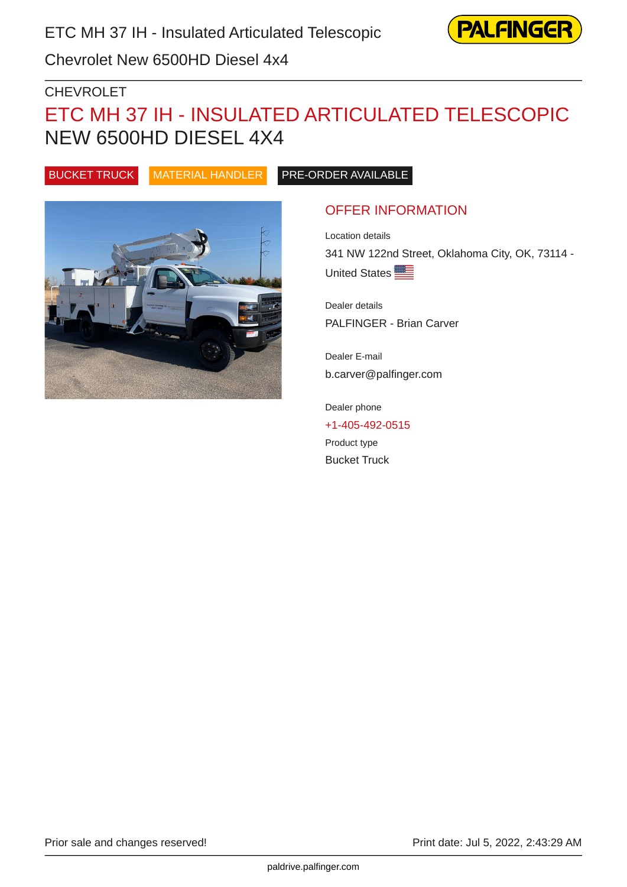

Chevrolet New 6500HD Diesel 4x4

### CHEVROLET

# ETC MH 37 IH - INSULATED ARTICULATED TELESCOPIC NEW 6500HD DIESEL 4X4

BUCKET TRUCK MATERIAL HANDLER PRE-ORDER AVAILABLE



### OFFER INFORMATION

Location details 341 NW 122nd Street, Oklahoma City, OK, 73114 - United States

Dealer details PALFINGER - Brian Carver

Dealer E-mail b.carver@palfinger.com

Dealer phone [+1-405-492-0515](tel:+1-405-492-0515) Product type Bucket Truck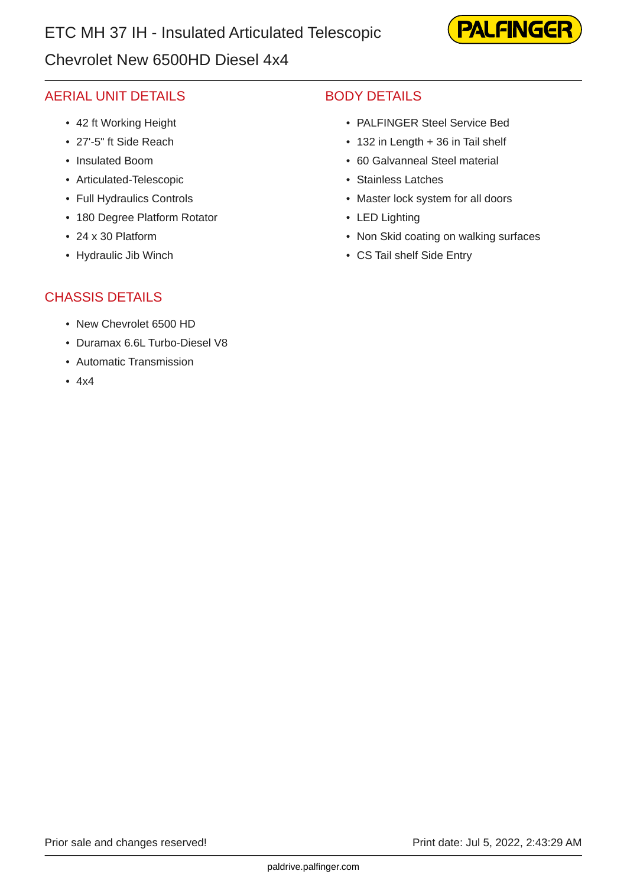### Chevrolet New 6500HD Diesel 4x4



### AERIAL UNIT DETAILS

- 42 ft Working Height
- 27'-5" ft Side Reach
- Insulated Boom
- Articulated-Telescopic
- Full Hydraulics Controls
- 180 Degree Platform Rotator
- 24 x 30 Platform
- Hydraulic Jib Winch

### BODY DETAILS

- PALFINGER Steel Service Bed
- 132 in Length + 36 in Tail shelf
- 60 Galvanneal Steel material
- Stainless Latches
- Master lock system for all doors
- LED Lighting
- Non Skid coating on walking surfaces
- CS Tail shelf Side Entry

### CHASSIS DETAILS

- New Chevrolet 6500 HD
- Duramax 6.6L Turbo-Diesel V8
- Automatic Transmission
- 4x4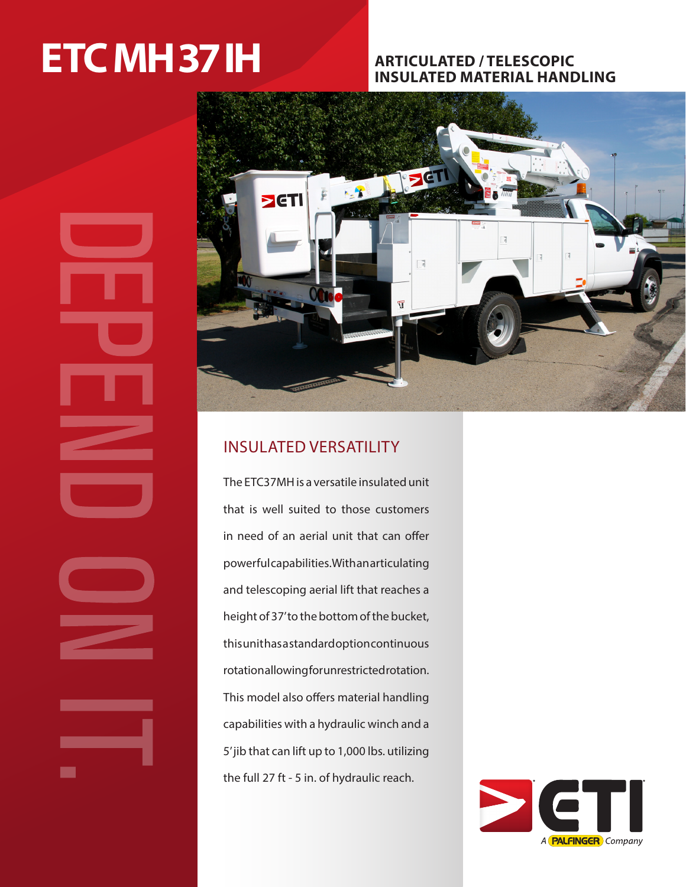# **ETC MH 37 IH** ARTICULATED / TELESCOPIC

# **INSULATED MATERIAL HANDLING**



## INSULATED VERSATILITY

The ETC37MH is a versatile insulated unit that is well suited to those customers in need of an aerial unit that can offer powerful capabilities. With an articulating and telescoping aerial lift that reaches a height of 37' to the bottom of the bucket, this unit has a standard option continuous rotation allowing for unrestricted rotation. This model also offers material handling capabilities with a hydraulic winch and a 5' jib that can lift up to 1,000 lbs. utilizing the full 27 ft - 5 in. of hydraulic reach.